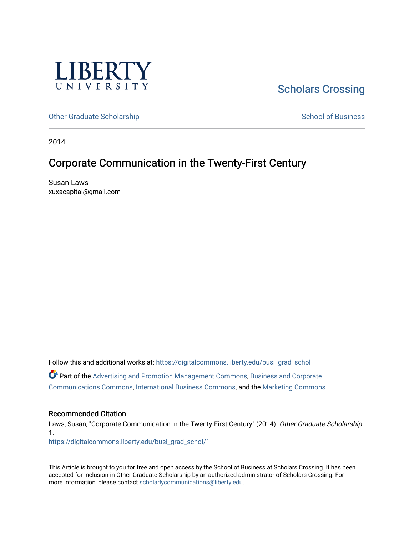

# [Scholars Crossing](https://digitalcommons.liberty.edu/)

[Other Graduate Scholarship](https://digitalcommons.liberty.edu/busi_grad_schol) [School of Business](https://digitalcommons.liberty.edu/sob) and School of Business

2014

# Corporate Communication in the Twenty-First Century

Susan Laws xuxacapital@gmail.com

Follow this and additional works at: [https://digitalcommons.liberty.edu/busi\\_grad\\_schol](https://digitalcommons.liberty.edu/busi_grad_schol?utm_source=digitalcommons.liberty.edu%2Fbusi_grad_schol%2F1&utm_medium=PDF&utm_campaign=PDFCoverPages)  Part of the [Advertising and Promotion Management Commons,](http://network.bepress.com/hgg/discipline/626?utm_source=digitalcommons.liberty.edu%2Fbusi_grad_schol%2F1&utm_medium=PDF&utm_campaign=PDFCoverPages) [Business and Corporate](http://network.bepress.com/hgg/discipline/627?utm_source=digitalcommons.liberty.edu%2Fbusi_grad_schol%2F1&utm_medium=PDF&utm_campaign=PDFCoverPages) [Communications Commons,](http://network.bepress.com/hgg/discipline/627?utm_source=digitalcommons.liberty.edu%2Fbusi_grad_schol%2F1&utm_medium=PDF&utm_campaign=PDFCoverPages) [International Business Commons](http://network.bepress.com/hgg/discipline/634?utm_source=digitalcommons.liberty.edu%2Fbusi_grad_schol%2F1&utm_medium=PDF&utm_campaign=PDFCoverPages), and the [Marketing Commons](http://network.bepress.com/hgg/discipline/638?utm_source=digitalcommons.liberty.edu%2Fbusi_grad_schol%2F1&utm_medium=PDF&utm_campaign=PDFCoverPages) 

## Recommended Citation

Laws, Susan, "Corporate Communication in the Twenty-First Century" (2014). Other Graduate Scholarship. 1.

[https://digitalcommons.liberty.edu/busi\\_grad\\_schol/1](https://digitalcommons.liberty.edu/busi_grad_schol/1?utm_source=digitalcommons.liberty.edu%2Fbusi_grad_schol%2F1&utm_medium=PDF&utm_campaign=PDFCoverPages) 

This Article is brought to you for free and open access by the School of Business at Scholars Crossing. It has been accepted for inclusion in Other Graduate Scholarship by an authorized administrator of Scholars Crossing. For more information, please contact [scholarlycommunications@liberty.edu](mailto:scholarlycommunications@liberty.edu).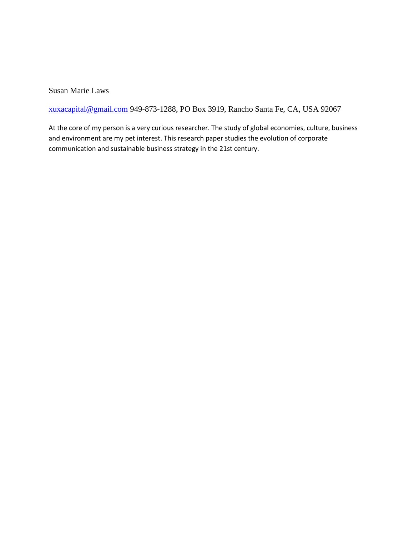Susan Marie Laws

[xuxacapital@gmail.com](mailto:xuxacapital@gmail.com) 949-873-1288, PO Box 3919, Rancho Santa Fe, CA, USA 92067

At the core of my person is a very curious researcher. The study of global economies, culture, business and environment are my pet interest. This research paper studies the evolution of corporate communication and sustainable business strategy in the 21st century.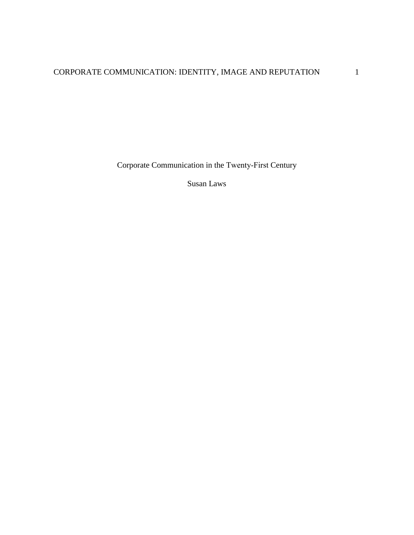Corporate Communication in the Twenty-First Century

Susan Laws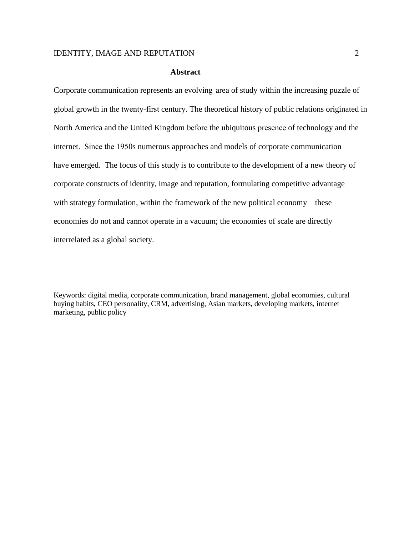#### **Abstract**

Corporate communication represents an evolving area of study within the increasing puzzle of global growth in the twenty-first century. The theoretical history of public relations originated in North America and the United Kingdom before the ubiquitous presence of technology and the internet. Since the 1950s numerous approaches and models of corporate communication have emerged. The focus of this study is to contribute to the development of a new theory of corporate constructs of identity, image and reputation, formulating competitive advantage with strategy formulation, within the framework of the new political economy – these economies do not and cannot operate in a vacuum; the economies of scale are directly interrelated as a global society.

Keywords: digital media, corporate communication, brand management, global economies, cultural buying habits, CEO personality, CRM, advertising, Asian markets, developing markets, internet marketing, public policy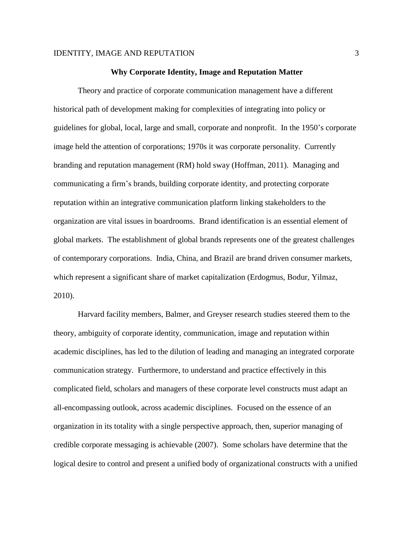#### **Why Corporate Identity, Image and Reputation Matter**

Theory and practice of corporate communication management have a different historical path of development making for complexities of integrating into policy or guidelines for global, local, large and small, corporate and nonprofit. In the 1950's corporate image held the attention of corporations; 1970s it was corporate personality. Currently branding and reputation management (RM) hold sway (Hoffman, 2011). Managing and communicating a firm's brands, building corporate identity, and protecting corporate reputation within an integrative communication platform linking stakeholders to the organization are vital issues in boardrooms. Brand identification is an essential element of global markets. The establishment of global brands represents one of the greatest challenges of contemporary corporations. India, China, and Brazil are brand driven consumer markets, which represent a significant share of market capitalization (Erdogmus, Bodur, Yilmaz, 2010).

Harvard facility members, Balmer, and Greyser research studies steered them to the theory, ambiguity of corporate identity, communication, image and reputation within academic disciplines, has led to the dilution of leading and managing an integrated corporate communication strategy. Furthermore, to understand and practice effectively in this complicated field, scholars and managers of these corporate level constructs must adapt an all-encompassing outlook, across academic disciplines. Focused on the essence of an organization in its totality with a single perspective approach, then, superior managing of credible corporate messaging is achievable (2007). Some scholars have determine that the logical desire to control and present a unified body of organizational constructs with a unified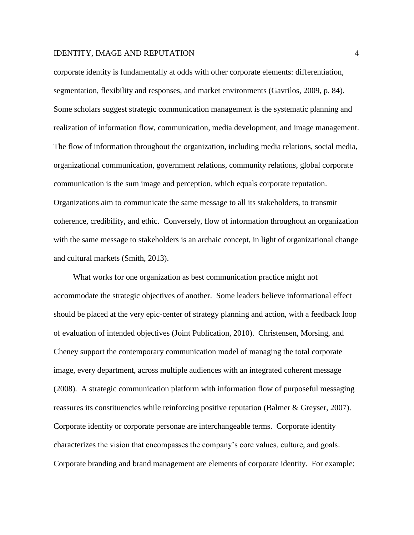corporate identity is fundamentally at odds with other corporate elements: differentiation, segmentation, flexibility and responses, and market environments (Gavrilos, 2009, p. 84). Some scholars suggest strategic communication management is the systematic planning and realization of information flow, communication, media development, and image management. The flow of information throughout the organization, including media relations, social media, organizational communication, government relations, community relations, global corporate communication is the sum image and perception, which equals corporate reputation. Organizations aim to communicate the same message to all its stakeholders, to transmit coherence, credibility, and ethic. Conversely, flow of information throughout an organization with the same message to stakeholders is an archaic concept, in light of organizational change and cultural markets (Smith, 2013).

What works for one organization as best communication practice might not accommodate the strategic objectives of another. Some leaders believe informational effect should be placed at the very epic-center of strategy planning and action, with a feedback loop of evaluation of intended objectives (Joint Publication, 2010). Christensen, Morsing, and Cheney support the contemporary communication model of managing the total corporate image, every department, across multiple audiences with an integrated coherent message (2008). A strategic communication platform with information flow of purposeful messaging reassures its constituencies while reinforcing positive reputation (Balmer & Greyser, 2007). Corporate identity or corporate personae are interchangeable terms. Corporate identity characterizes the vision that encompasses the company's core values, culture, and goals. Corporate branding and brand management are elements of corporate identity. For example: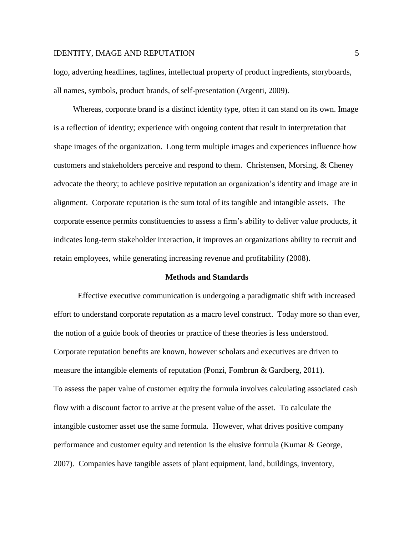logo, adverting headlines, taglines, intellectual property of product ingredients, storyboards, all names, symbols, product brands, of self-presentation (Argenti, 2009).

Whereas, corporate brand is a distinct identity type, often it can stand on its own. Image is a reflection of identity; experience with ongoing content that result in interpretation that shape images of the organization. Long term multiple images and experiences influence how customers and stakeholders perceive and respond to them. Christensen, Morsing, & Cheney advocate the theory; to achieve positive reputation an organization's identity and image are in alignment. Corporate reputation is the sum total of its tangible and intangible assets. The corporate essence permits constituencies to assess a firm's ability to deliver value products, it indicates long-term stakeholder interaction, it improves an organizations ability to recruit and retain employees, while generating increasing revenue and profitability (2008).

#### **Methods and Standards**

Effective executive communication is undergoing a paradigmatic shift with increased effort to understand corporate reputation as a macro level construct. Today more so than ever, the notion of a guide book of theories or practice of these theories is less understood. Corporate reputation benefits are known, however scholars and executives are driven to measure the intangible elements of reputation (Ponzi, Fombrun & Gardberg, 2011). To assess the paper value of customer equity the formula involves calculating associated cash flow with a discount factor to arrive at the present value of the asset. To calculate the intangible customer asset use the same formula. However, what drives positive company performance and customer equity and retention is the elusive formula (Kumar & George, 2007). Companies have tangible assets of plant equipment, land, buildings, inventory,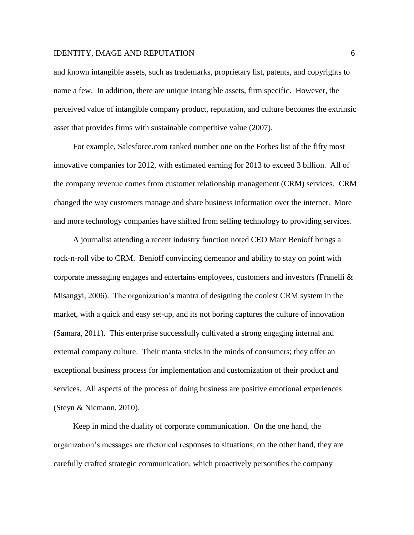and known intangible assets, such as trademarks, proprietary list, patents, and copyrights to name a few. In addition, there are unique intangible assets, firm specific. However, the perceived value of intangible company product, reputation, and culture becomes the extrinsic asset that provides firms with sustainable competitive value (2007).

For example, Salesforce.com ranked number one on the Forbes list of the fifty most innovative companies for 2012, with estimated earning for 2013 to exceed 3 billion. All of the company revenue comes from customer relationship management (CRM) services. CRM changed the way customers manage and share business information over the internet. More and more technology companies have shifted from selling technology to providing services.

A journalist attending a recent industry function noted CEO Marc Benioff brings a rock-n-roll vibe to CRM. Benioff convincing demeanor and ability to stay on point with corporate messaging engages and entertains employees, customers and investors (Franelli & Misangyi, 2006). The organization's mantra of designing the coolest CRM system in the market, with a quick and easy set-up, and its not boring captures the culture of innovation (Samara, 2011). This enterprise successfully cultivated a strong engaging internal and external company culture. Their manta sticks in the minds of consumers; they offer an exceptional business process for implementation and customization of their product and services. All aspects of the process of doing business are positive emotional experiences (Steyn & Niemann, 2010).

Keep in mind the duality of corporate communication. On the one hand, the organization's messages are rhetorical responses to situations; on the other hand, they are carefully crafted strategic communication, which proactively personifies the company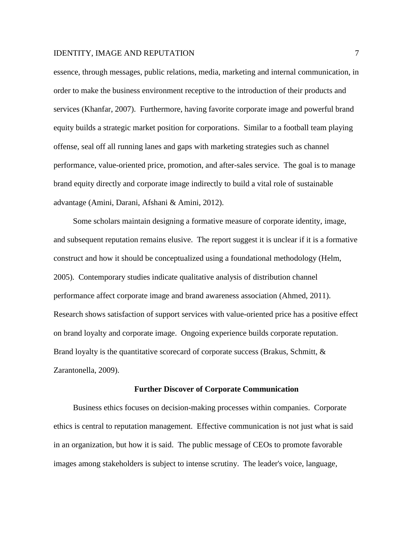essence, through messages, public relations, media, marketing and internal communication, in order to make the business environment receptive to the introduction of their products and services (Khanfar, 2007). Furthermore, having favorite corporate image and powerful brand equity builds a strategic market position for corporations. Similar to a football team playing offense, seal off all running lanes and gaps with marketing strategies such as channel performance, value-oriented price, promotion, and after-sales service. The goal is to manage brand equity directly and corporate image indirectly to build a vital role of sustainable advantage (Amini, Darani, Afshani & Amini, 2012).

Some scholars maintain designing a formative measure of corporate identity, image, and subsequent reputation remains elusive. The report suggest it is unclear if it is a formative construct and how it should be conceptualized using a foundational methodology (Helm, 2005). Contemporary studies indicate qualitative analysis of distribution channel performance affect corporate image and brand awareness association (Ahmed, 2011). Research shows satisfaction of support services with value-oriented price has a positive effect on brand loyalty and corporate image. Ongoing experience builds corporate reputation. Brand loyalty is the quantitative scorecard of corporate success (Brakus, Schmitt, & Zarantonella, 2009).

#### **Further Discover of Corporate Communication**

Business ethics focuses on decision-making processes within companies. Corporate ethics is central to reputation management. Effective communication is not just what is said in an organization, but how it is said. The public message of CEOs to promote favorable images among stakeholders is subject to intense scrutiny. The leader's voice, language,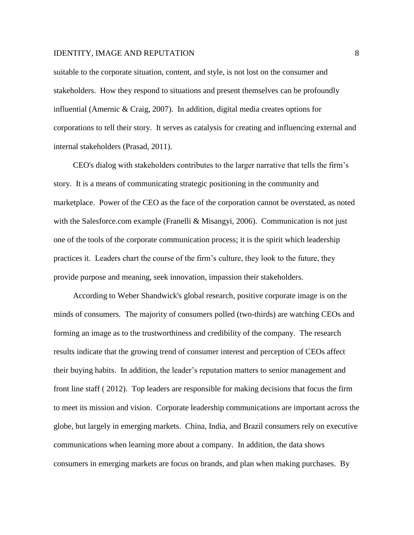suitable to the corporate situation, content, and style, is not lost on the consumer and stakeholders. How they respond to situations and present themselves can be profoundly influential (Amernic & Craig, 2007). In addition, digital media creates options for corporations to tell their story. It serves as catalysis for creating and influencing external and internal stakeholders (Prasad, 2011).

CEO's dialog with stakeholders contributes to the larger narrative that tells the firm's story. It is a means of communicating strategic positioning in the community and marketplace. Power of the CEO as the face of the corporation cannot be overstated, as noted with the Salesforce.com example (Franelli & Misangyi, 2006). Communication is not just one of the tools of the corporate communication process; it is the spirit which leadership practices it. Leaders chart the course of the firm's culture, they look to the future, they provide purpose and meaning, seek innovation, impassion their stakeholders.

According to Weber Shandwick's global research, positive corporate image is on the minds of consumers. The majority of consumers polled (two-thirds) are watching CEOs and forming an image as to the trustworthiness and credibility of the company. The research results indicate that the growing trend of consumer interest and perception of CEOs affect their buying habits. In addition, the leader's reputation matters to senior management and front line staff ( 2012). Top leaders are responsible for making decisions that focus the firm to meet its mission and vision. Corporate leadership communications are important across the globe, but largely in emerging markets. China, India, and Brazil consumers rely on executive communications when learning more about a company. In addition, the data shows consumers in emerging markets are focus on brands, and plan when making purchases. By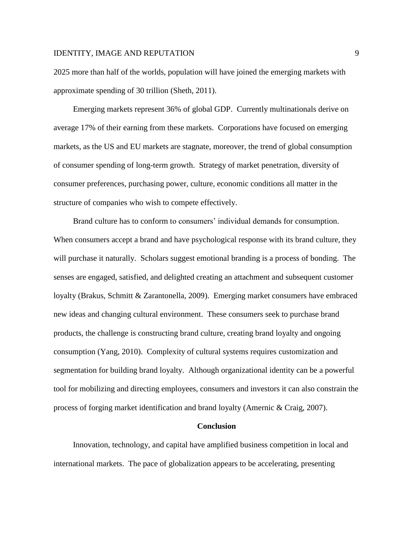2025 more than half of the worlds, population will have joined the emerging markets with approximate spending of 30 trillion (Sheth, 2011).

Emerging markets represent 36% of global GDP. Currently multinationals derive on average 17% of their earning from these markets. Corporations have focused on emerging markets, as the US and EU markets are stagnate, moreover, the trend of global consumption of consumer spending of long-term growth. Strategy of market penetration, diversity of consumer preferences, purchasing power, culture, economic conditions all matter in the structure of companies who wish to compete effectively.

Brand culture has to conform to consumers' individual demands for consumption. When consumers accept a brand and have psychological response with its brand culture, they will purchase it naturally. Scholars suggest emotional branding is a process of bonding. The senses are engaged, satisfied, and delighted creating an attachment and subsequent customer loyalty (Brakus, Schmitt & Zarantonella, 2009). Emerging market consumers have embraced new ideas and changing cultural environment. These consumers seek to purchase brand products, the challenge is constructing brand culture, creating brand loyalty and ongoing consumption (Yang, 2010). Complexity of cultural systems requires customization and segmentation for building brand loyalty. Although organizational identity can be a powerful tool for mobilizing and directing employees, consumers and investors it can also constrain the process of forging market identification and brand loyalty (Amernic & Craig, 2007).

#### **Conclusion**

Innovation, technology, and capital have amplified business competition in local and international markets. The pace of globalization appears to be accelerating, presenting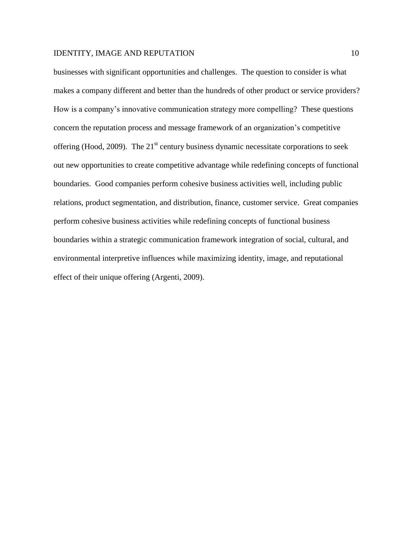businesses with significant opportunities and challenges. The question to consider is what makes a company different and better than the hundreds of other product or service providers? How is a company's innovative communication strategy more compelling? These questions concern the reputation process and message framework of an organization's competitive offering (Hood, 2009). The  $21<sup>st</sup>$  century business dynamic necessitate corporations to seek out new opportunities to create competitive advantage while redefining concepts of functional boundaries. Good companies perform cohesive business activities well, including public relations, product segmentation, and distribution, finance, customer service. Great companies perform cohesive business activities while redefining concepts of functional business boundaries within a strategic communication framework integration of social, cultural, and environmental interpretive influences while maximizing identity, image, and reputational effect of their unique offering (Argenti, 2009).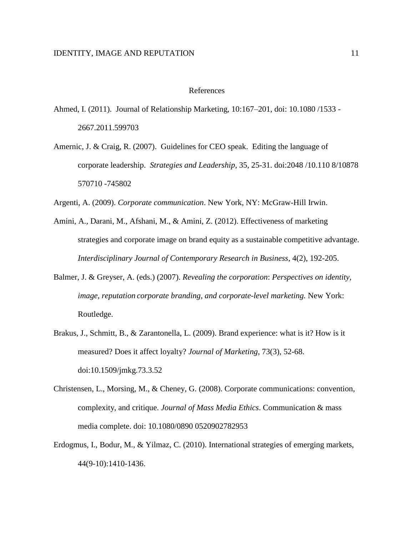### References

- Ahmed, I. (2011). Journal of Relationship Marketing, 10:167–201, doi: 10.1080 /1533 2667.2011.599703
- Amernic, J. & Craig, R. (2007). Guidelines for CEO speak. Editing the language of corporate leadership. *Strategies and Leadership*, 35, 25-31. doi:2048 /10.110 8/10878 570710 -745802
- Argenti, A. (2009). *Corporate communication*. New York, NY: McGraw-Hill Irwin.
- Amini, A., Darani, M., Afshani, M., & Amini, Z. (2012). Effectiveness of marketing strategies and corporate image on brand equity as a sustainable competitive advantage. *Interdisciplinary Journal of Contemporary Research in Business*, 4(2), 192-205.
- Balmer, J. & Greyser, A. (eds.) (2007). *Revealing the corporation*: *Perspectives on identity, image, reputation corporate branding, and corporate-level marketing.* New York: Routledge.
- Brakus, J., Schmitt, B., & Zarantonella, L. (2009). Brand experience: what is it? How is it measured? Does it affect loyalty? *Journal of Marketing*, 73(3), 52-68. doi:10.1509/jmkg.73.3.52
- Christensen, L., Morsing, M., & Cheney, G. (2008). Corporate communications: convention, complexity, and critique. *Journal of Mass Media Ethics*. Communication & mass media complete. doi: 10.1080/0890 0520902782953
- Erdogmus, I., Bodur, M., & Yilmaz, C. (2010). International strategies of emerging markets, 44(9-10):1410-1436.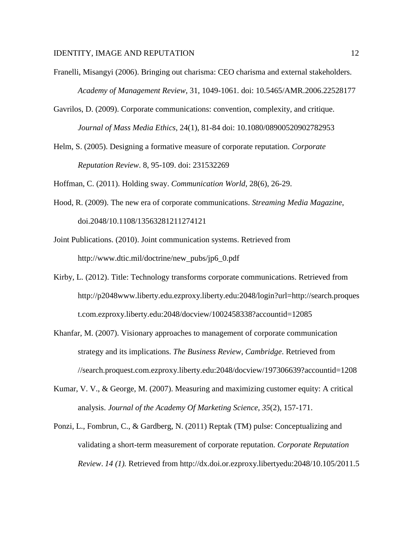- Franelli, Misangyi (2006). Bringing out charisma: CEO charisma and external stakeholders. *Academy of Management Review*, 31, 1049-1061. doi: 10.5465/AMR.2006.22528177
- Gavrilos, D. (2009). Corporate communications: convention, complexity, and critique. *Journal of Mass Media Ethics*, 24(1), 81-84 doi: 10.1080/08900520902782953
- Helm, S. (2005). Designing a formative measure of corporate reputation. *Corporate Reputation Review*. 8, 95-109. doi: 231532269

Hoffman, C. (2011). Holding sway. *Communication World*, 28(6), 26-29.

- Hood, R. (2009). The new era of corporate communications. *Streaming Media Magazine*, doi.2048/10.1108/13563281211274121
- Joint Publications. (2010). Joint communication systems. Retrieved from http://www.dtic.mil/doctrine/new\_pubs/jp6\_0.pdf
- Kirby, L. (2012). Title: Technology transforms corporate communications. Retrieved from http://p2048www.liberty.edu.ezproxy.liberty.edu:2048/login?url=http://search.proques t.com.ezproxy.liberty.edu:2048/docview/1002458338?accountid=12085
- Khanfar, M. (2007). Visionary approaches to management of corporate communication strategy and its implications. *The Business Review, Cambridge*. Retrieved from //search.proquest.com.ezproxy.liberty.edu:2048/docview/197306639?accountid=1208
- Kumar, V. V., & George, M. (2007). Measuring and maximizing customer equity: A critical analysis. *Journal of the Academy Of Marketing Science*, *35*(2), 157-171.
- Ponzi, L., Fombrun, C., & Gardberg, N. (2011) Reptak (TM) pulse: Conceptualizing and validating a short-term measurement of corporate reputation. *[Corporate Reputation](file:///C:/Users/Susan%20Laws/Documents/Corporate%20Reputation%20Review)  [Review](file:///C:/Users/Susan%20Laws/Documents/Corporate%20Reputation%20Review)*. *[14 \(1\).](file:///C:/Users/Susan%20Laws/Documents/14%20(1))* Retrieved from http://dx.doi.or.ezproxy.libertyedu:2048/10.105/2011.5